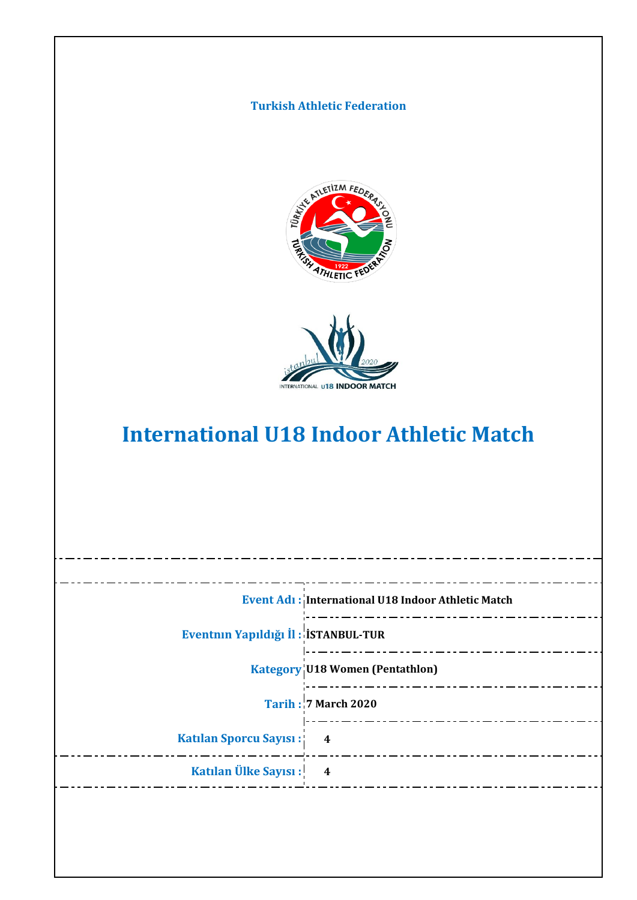## **Turkish Athletic Federation**





# **International U18 Indoor Athletic Match**

|                                     | Event Adı: International U18 Indoor Athletic Match |
|-------------------------------------|----------------------------------------------------|
| Eventnin Yapıldığı İl: İSTANBUL-TUR |                                                    |
|                                     | <b>Kategory U18 Women (Pentathlon)</b>             |
|                                     | <b>Tarih: 7 March 2020</b>                         |
| Katılan Sporcu Sayısı: 4            |                                                    |
| Katılan Ülke Sayısı: 4              |                                                    |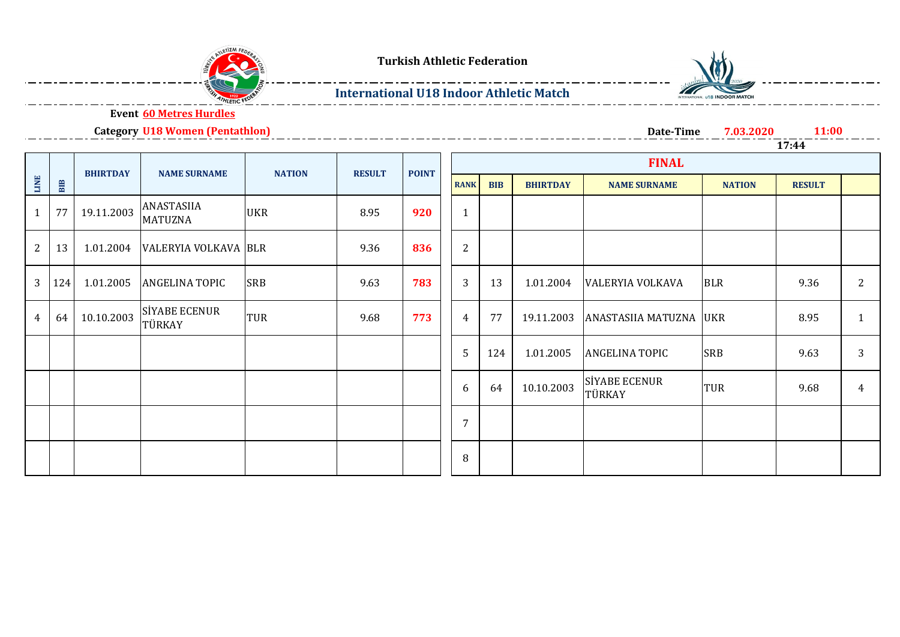



### **International U18 Indoor Athletic Match**



**Event 60 Metres Hurdles**

**Category U18 Women (Pentathlon)**

**Date-Time 7.03.2020 11:00 17:44**

|                |     | <b>BHIRTDAY</b> | <b>NAME SURNAME</b>                | <b>NATION</b> | <b>RESULT</b> | <b>POINT</b> |                |            |                 |                                |               |               |              |  |
|----------------|-----|-----------------|------------------------------------|---------------|---------------|--------------|----------------|------------|-----------------|--------------------------------|---------------|---------------|--------------|--|
| <b>LINE</b>    | BIB |                 |                                    |               |               |              | <b>RANK</b>    | <b>BIB</b> | <b>BHIRTDAY</b> | <b>NAME SURNAME</b>            | <b>NATION</b> | <b>RESULT</b> |              |  |
|                | 77  | 19.11.2003      | ANASTASIIA<br><b>MATUZNA</b>       | <b>UKR</b>    | 8.95          | 920          | $\mathbf{1}$   |            |                 |                                |               |               |              |  |
| $\overline{2}$ | 13  |                 | 1.01.2004   VALERYIA VOLKAVA   BLR |               | 9.36          | 836          | $\overline{2}$ |            |                 |                                |               |               |              |  |
| 3              | 124 | 1.01.2005       | <b>ANGELINA TOPIC</b>              | <b>SRB</b>    | 9.63          | 783          | 3              | 13         | 1.01.2004       | <b>VALERYIA VOLKAVA</b>        | <b>BLR</b>    | 9.36          | 2            |  |
| 4              | 64  | 10.10.2003      | <b>SİYABE ECENUR</b><br>TÜRKAY     | TUR           | 9.68          | 773          | 4              | 77         | 19.11.2003      | ANASTASIIA MATUZNA UKR         |               | 8.95          | $\mathbf{1}$ |  |
|                |     |                 |                                    |               |               |              | 5              | 124        | 1.01.2005       | <b>ANGELINA TOPIC</b>          | <b>SRB</b>    | 9.63          | 3            |  |
|                |     |                 |                                    |               |               |              | 6              | 64         | 10.10.2003      | <b>SİYABE ECENUR</b><br>TÜRKAY | <b>TUR</b>    | 9.68          | 4            |  |
|                |     |                 |                                    |               |               |              | 7              |            |                 |                                |               |               |              |  |
|                |     |                 |                                    |               |               |              | 8              |            |                 |                                |               |               |              |  |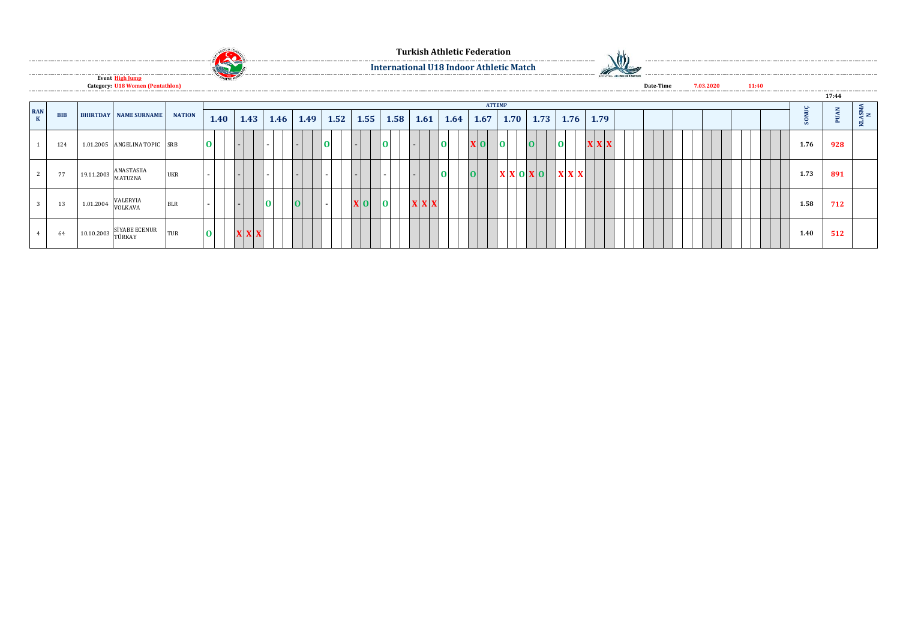|                           |            |           | Event High Jump                         |               |          | <b>Exp</b> |             |      |      |      |                |          |      |      |                 | <b>Turkish Athletic Federation</b><br><b>International U18 Indoor Athletic Match</b> |               |      |                                                                 |      | ___________________________ |      | <b>INTERVIDENCIAL BY INDIOGRAMATCH</b> | --------------- |           |  |       |      |             |               |
|---------------------------|------------|-----------|-----------------------------------------|---------------|----------|------------|-------------|------|------|------|----------------|----------|------|------|-----------------|--------------------------------------------------------------------------------------|---------------|------|-----------------------------------------------------------------|------|-----------------------------|------|----------------------------------------|-----------------|-----------|--|-------|------|-------------|---------------|
|                           |            |           | <b>Category: U18 Women (Pentathlon)</b> |               |          |            |             |      |      |      |                |          |      |      |                 |                                                                                      |               |      |                                                                 |      |                             |      |                                        | Date-Time       | 7.03.2020 |  | 11:40 |      | 17:44       |               |
|                           |            |           |                                         |               |          |            |             |      |      |      |                |          |      |      |                 |                                                                                      | <b>ATTEMP</b> |      |                                                                 |      |                             |      |                                        |                 |           |  |       |      |             |               |
| <b>RAN</b><br>$\mathbf K$ | <b>BIB</b> |           | <b>BHIRTDAY NAME SURNAME</b>            | <b>NATION</b> | 1.40     |            | 1.43        | 1.46 | 1.49 | 1.52 | 1.55           |          | 1.58 | 1.61 |                 | $1.64$ 1.67                                                                          |               | 1.70 |                                                                 | 1.73 | 1.76                        | 1.79 |                                        |                 |           |  |       | S    | <b>PUAN</b> | $\frac{N}{N}$ |
|                           | 124        |           | 1.01.2005 ANGELINA TOPIC                | <b>SRB</b>    |          |            |             |      |      |      |                |          |      | . .  | $\overline{10}$ | $\mathbf{X}$ 0                                                                       | 10            |      | $\overline{\mathbf{0}}$                                         |      | $\overline{10}$             | X X  |                                        |                 |           |  |       | 1.76 | 928         |               |
|                           | 77         |           | 19.11.2003 ANASTASIIA<br>MATUZNA        | <b>UKR</b>    |          |            |             |      |      |      |                |          |      |      | 10 I            | 0                                                                                    |               |      | $ \mathbf{X} \mathbf{X} $ $\mathbf{0} \mathbf{X}$ $\mathbf{0} $ |      | $\mathbf{X} \mathbf{X}$     |      |                                        |                 |           |  |       | 1.73 | 891         |               |
|                           | 13         | 1.01.2004 | VALERYIA<br>VOLKAVA                     | <b>BLR</b>    |          |            |             |      |      |      | X <sub>0</sub> | $\Omega$ |      | X X  |                 |                                                                                      |               |      |                                                                 |      |                             |      |                                        |                 |           |  |       | 1.58 | 712         |               |
|                           | 64         |           | $10.10.2003$ SIYABE ECENUR<br>TÜRKAY    | <b>TUR</b>    | $\Omega$ |            | $X$ $X$ $X$ |      |      |      |                |          |      |      |                 |                                                                                      |               |      |                                                                 |      |                             |      |                                        |                 |           |  |       | 1.40 | 512         |               |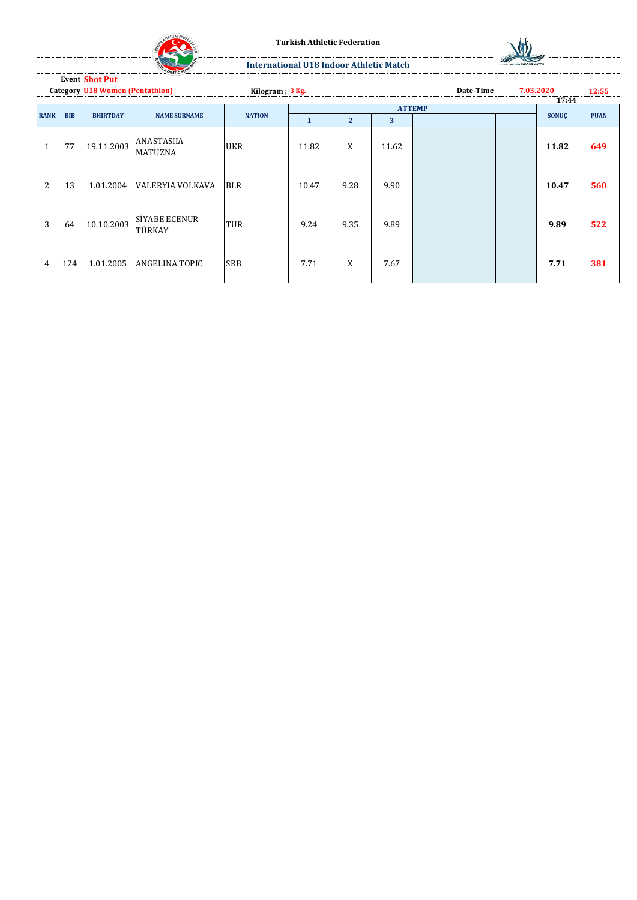

**Turkish Athletic Federation**



**International U18 Indoor Athletic Match**

**Event Shot Put**

**Kilogram : 3 Kg. 12:55 Category U18 Women (Pentathlon) Date-Time 7.03.2020** Date-Time 7.03.2020<br> **12:55**<br> **17:44**<br> **17:44** 

|             |            |                 |                                | <b>NATION</b> |       |              |       | <b>ATTEMP</b> |  |              |             |  |
|-------------|------------|-----------------|--------------------------------|---------------|-------|--------------|-------|---------------|--|--------------|-------------|--|
| <b>RANK</b> | <b>BIB</b> | <b>BHIRTDAY</b> | <b>NAME SURNAME</b>            |               | л.    | $\mathbf{2}$ | 3     |               |  | <b>SONUC</b> | <b>PUAN</b> |  |
| 1           | 77         | 19.11.2003      | ANASTASIIA<br><b>MATUZNA</b>   | <b>UKR</b>    | 11.82 | X            | 11.62 |               |  | 11.82        | 649         |  |
| 2           | 13         | 1.01.2004       | VALERYIA VOLKAVA               | <b>BLR</b>    | 10.47 | 9.28         | 9.90  |               |  | 10.47        | 560         |  |
| 3           | 64         | 10.10.2003      | <b>SİYABE ECENUR</b><br>TÜRKAY | <b>TUR</b>    | 9.24  | 9.35         | 9.89  |               |  | 9.89         | 522         |  |
| 4           | 124        | 1.01.2005       | <b>ANGELINA TOPIC</b>          | <b>SRB</b>    | 7.71  | X            | 7.67  |               |  | 7.71         | 381         |  |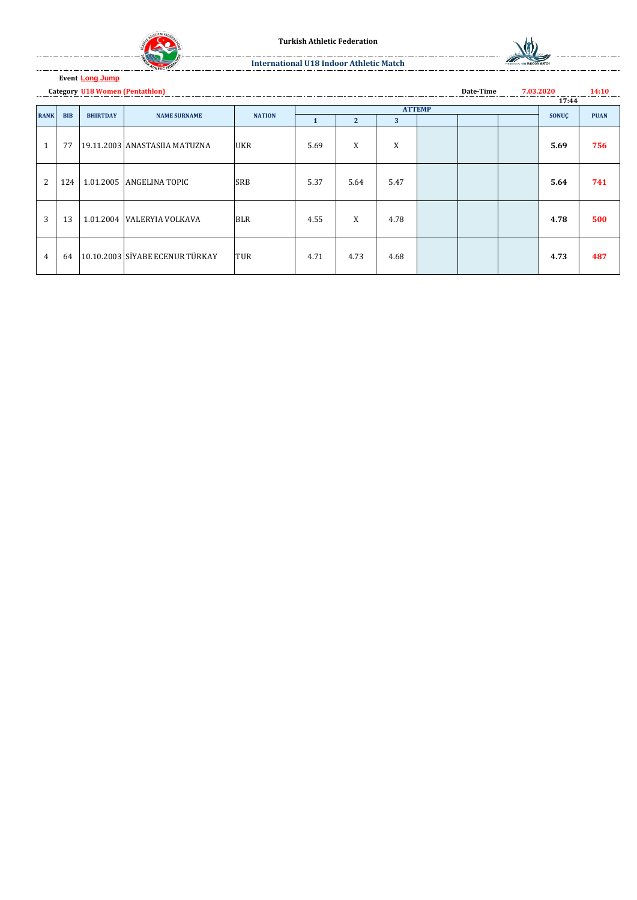



**Date-Time**

**14:10**

#### **International U18 Indoor Athletic Match**

#### **Event Long Jump**

**Category U18 Women (Pentathlon) 7.03.2020**

| 17:44          |            |                 |                                 |               |      |                |               |  |  |  |       |             |  |
|----------------|------------|-----------------|---------------------------------|---------------|------|----------------|---------------|--|--|--|-------|-------------|--|
|                |            |                 |                                 |               |      |                | <b>ATTEMP</b> |  |  |  |       |             |  |
| <b>RANK</b>    | <b>BIB</b> | <b>BHIRTDAY</b> | <b>NAME SURNAME</b>             | <b>NATION</b> | 1    | $\overline{2}$ | 3             |  |  |  | SONUÇ | <b>PUAN</b> |  |
| $\mathbf{1}$   | 77         |                 | 19.11.2003 ANASTASIIA MATUZNA   | <b>UKR</b>    | 5.69 | X              | X             |  |  |  | 5.69  | 756         |  |
| 2              | 124        |                 | 1.01.2005 ANGELINA TOPIC        | <b>SRB</b>    | 5.37 | 5.64           | 5.47          |  |  |  | 5.64  | 741         |  |
| 3              | 13         |                 | 1.01.2004 VALERYIA VOLKAVA      | <b>BLR</b>    | 4.55 | X              | 4.78          |  |  |  | 4.78  | 500         |  |
| $\overline{4}$ | 64         |                 | 10.10.2003 SİYABE ECENUR TÜRKAY | <b>TUR</b>    | 4.71 | 4.73           | 4.68          |  |  |  | 4.73  | 487         |  |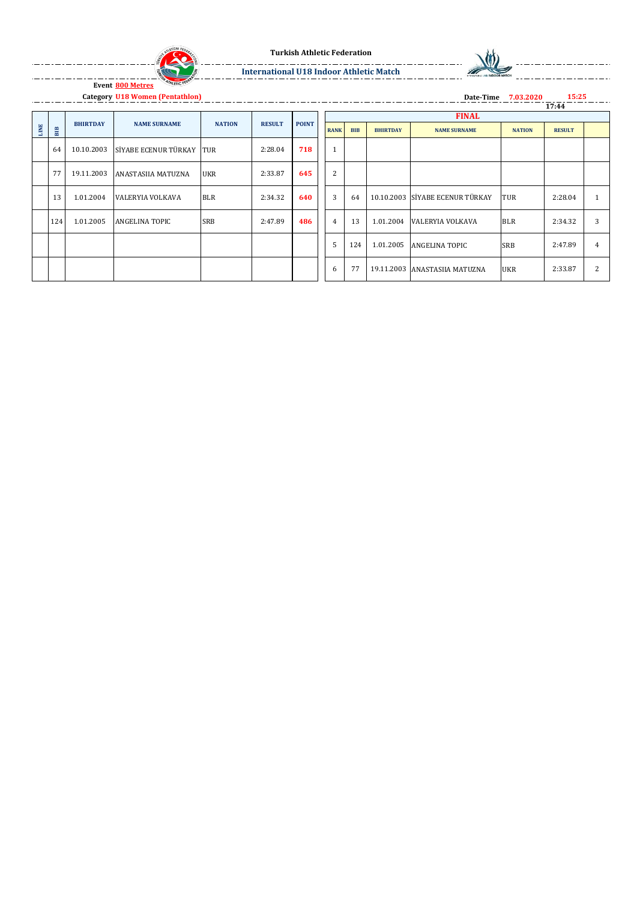



**Date-Time 7.03.2020**

**International U18 Indoor Athletic Match**

**Category U18 Women (Pentathlon) 15:25**

 $\frac{1}{2}$ 

|      |     |                 |                          |               |               |              |                |            |                 |                                 |               | 17:44         |                |
|------|-----|-----------------|--------------------------|---------------|---------------|--------------|----------------|------------|-----------------|---------------------------------|---------------|---------------|----------------|
|      |     |                 |                          |               |               | <b>POINT</b> |                |            |                 | <b>FINAL</b>                    |               |               |                |
| LINE | BIB | <b>BHIRTDAY</b> | <b>NAME SURNAME</b>      | <b>NATION</b> | <b>RESULT</b> |              | <b>RANK</b>    | <b>BIB</b> | <b>BHIRTDAY</b> | <b>NAME SURNAME</b>             | <b>NATION</b> | <b>RESULT</b> |                |
|      | 64  | 10.10.2003      | SİYABE ECENUR TÜRKAY TUR |               | 2:28.04       | 718          | $\mathbf{1}$   |            |                 |                                 |               |               |                |
|      | 77  | 19.11.2003      | ANASTASIIA MATUZNA       | <b>UKR</b>    | 2:33.87       | 645          | $\overline{2}$ |            |                 |                                 |               |               |                |
|      | 13  | 1.01.2004       | VALERYIA VOLKAVA         | <b>BLR</b>    | 2:34.32       | 640          | 3              | 64         |                 | 10.10.2003 SİYABE ECENUR TÜRKAY | <b>TUR</b>    | 2:28.04       |                |
|      | 124 | 1.01.2005       | ANGELINA TOPIC           | <b>SRB</b>    | 2:47.89       | 486          | $\overline{4}$ | 13         | 1.01.2004       | VALERYIA VOLKAVA                | <b>BLR</b>    | 2:34.32       | 3              |
|      |     |                 |                          |               |               |              | 5              | 124        | 1.01.2005       | <b>ANGELINA TOPIC</b>           | <b>SRB</b>    | 2:47.89       | $\overline{4}$ |
|      |     |                 |                          |               |               |              | 6              | 77         |                 | 19.11.2003 ANASTASIIA MATUZNA   | <b>UKR</b>    | 2:33.87       | 2              |